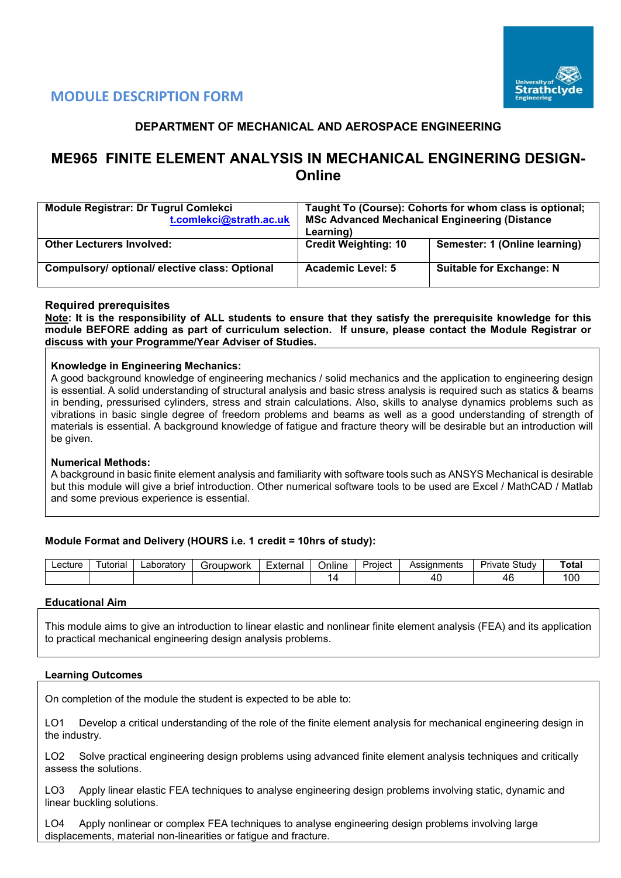

## **DEPARTMENT OF MECHANICAL AND AEROSPACE ENGINEERING**

# **ME965 FINITE ELEMENT ANALYSIS IN MECHANICAL ENGINERING DESIGN-Online**

| <b>Module Registrar: Dr Tugrul Comlekci</b><br>t.comlekci@strath.ac.uk | Taught To (Course): Cohorts for whom class is optional;<br><b>MSc Advanced Mechanical Engineering (Distance</b><br>Learning) |                                 |  |  |  |  |  |
|------------------------------------------------------------------------|------------------------------------------------------------------------------------------------------------------------------|---------------------------------|--|--|--|--|--|
| <b>Other Lecturers Involved:</b>                                       | <b>Credit Weighting: 10</b>                                                                                                  | Semester: 1 (Online learning)   |  |  |  |  |  |
| Compulsory/ optional/ elective class: Optional                         | <b>Academic Level: 5</b>                                                                                                     | <b>Suitable for Exchange: N</b> |  |  |  |  |  |

### **Required prerequisites**

**Note: It is the responsibility of ALL students to ensure that they satisfy the prerequisite knowledge for this module BEFORE adding as part of curriculum selection. If unsure, please contact the Module Registrar or discuss with your Programme/Year Adviser of Studies.**

#### **Knowledge in Engineering Mechanics:**

A good background knowledge of engineering mechanics / solid mechanics and the application to engineering design is essential. A solid understanding of structural analysis and basic stress analysis is required such as statics & beams in bending, pressurised cylinders, stress and strain calculations. Also, skills to analyse dynamics problems such as vibrations in basic single degree of freedom problems and beams as well as a good understanding of strength of materials is essential. A background knowledge of fatigue and fracture theory will be desirable but an introduction will be given.

#### **Numerical Methods:**

A background in basic finite element analysis and familiarity with software tools such as ANSYS Mechanical is desirable but this module will give a brief introduction. Other numerical software tools to be used are Excel / MathCAD / Matlab and some previous experience is essential.

### **Module Format and Delivery (HOURS i.e. 1 credit = 10hrs of study):**

| ∟ecture | utoria | ∟aboratorv | `roupwork | _<br>External<br>الصاليا | Online | Project | Assianments | Study<br>$J_{\rm FII}$<br><b>Tvate</b> | ™ota.         |
|---------|--------|------------|-----------|--------------------------|--------|---------|-------------|----------------------------------------|---------------|
|         |        |            |           |                          |        |         |             |                                        | $\sim$<br>∣∪∪ |

#### **Educational Aim**

This module aims to give an introduction to linear elastic and nonlinear finite element analysis (FEA) and its application to practical mechanical engineering design analysis problems.

#### **Learning Outcomes**

On completion of the module the student is expected to be able to:

LO1 Develop a critical understanding of the role of the finite element analysis for mechanical engineering design in the industry.

LO2 Solve practical engineering design problems using advanced finite element analysis techniques and critically assess the solutions.

LO3 Apply linear elastic FEA techniques to analyse engineering design problems involving static, dynamic and linear buckling solutions.

LO4 Apply nonlinear or complex FEA techniques to analyse engineering design problems involving large displacements, material non-linearities or fatigue and fracture.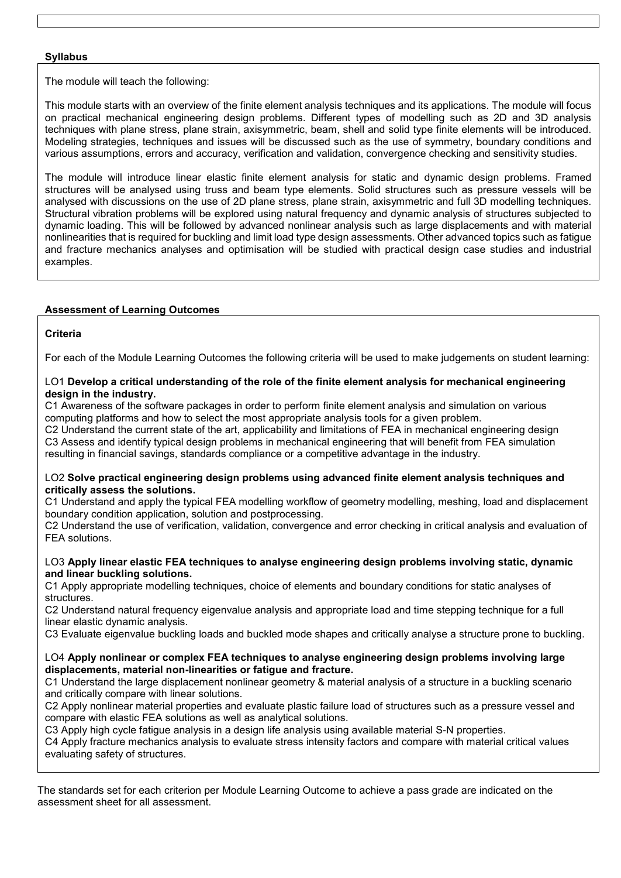### **Syllabus**

The module will teach the following:

This module starts with an overview of the finite element analysis techniques and its applications. The module will focus on practical mechanical engineering design problems. Different types of modelling such as 2D and 3D analysis techniques with plane stress, plane strain, axisymmetric, beam, shell and solid type finite elements will be introduced. Modeling strategies, techniques and issues will be discussed such as the use of symmetry, boundary conditions and various assumptions, errors and accuracy, verification and validation, convergence checking and sensitivity studies.

The module will introduce linear elastic finite element analysis for static and dynamic design problems. Framed structures will be analysed using truss and beam type elements. Solid structures such as pressure vessels will be analysed with discussions on the use of 2D plane stress, plane strain, axisymmetric and full 3D modelling techniques. Structural vibration problems will be explored using natural frequency and dynamic analysis of structures subjected to dynamic loading. This will be followed by advanced nonlinear analysis such as large displacements and with material nonlinearities that is required for buckling and limit load type design assessments. Other advanced topics such as fatigue and fracture mechanics analyses and optimisation will be studied with practical design case studies and industrial examples.

### **Assessment of Learning Outcomes**

## **Criteria**

For each of the Module Learning Outcomes the following criteria will be used to make judgements on student learning:

#### LO1 **Develop a critical understanding of the role of the finite element analysis for mechanical engineering design in the industry.**

C1 Awareness of the software packages in order to perform finite element analysis and simulation on various computing platforms and how to select the most appropriate analysis tools for a given problem.

C2 Understand the current state of the art, applicability and limitations of FEA in mechanical engineering design C3 Assess and identify typical design problems in mechanical engineering that will benefit from FEA simulation resulting in financial savings, standards compliance or a competitive advantage in the industry.

#### LO2 **Solve practical engineering design problems using advanced finite element analysis techniques and critically assess the solutions.**

C1 Understand and apply the typical FEA modelling workflow of geometry modelling, meshing, load and displacement boundary condition application, solution and postprocessing.

C2 Understand the use of verification, validation, convergence and error checking in critical analysis and evaluation of FEA solutions.

#### LO3 **Apply linear elastic FEA techniques to analyse engineering design problems involving static, dynamic and linear buckling solutions.**

C1 Apply appropriate modelling techniques, choice of elements and boundary conditions for static analyses of structures.

C2 Understand natural frequency eigenvalue analysis and appropriate load and time stepping technique for a full linear elastic dynamic analysis.

C3 Evaluate eigenvalue buckling loads and buckled mode shapes and critically analyse a structure prone to buckling.

#### LO4 **Apply nonlinear or complex FEA techniques to analyse engineering design problems involving large displacements, material non-linearities or fatigue and fracture.**

C1 Understand the large displacement nonlinear geometry & material analysis of a structure in a buckling scenario and critically compare with linear solutions.

C2 Apply nonlinear material properties and evaluate plastic failure load of structures such as a pressure vessel and compare with elastic FEA solutions as well as analytical solutions.

C3 Apply high cycle fatigue analysis in a design life analysis using available material S-N properties.

C4 Apply fracture mechanics analysis to evaluate stress intensity factors and compare with material critical values evaluating safety of structures.

The standards set for each criterion per Module Learning Outcome to achieve a pass grade are indicated on the assessment sheet for all assessment.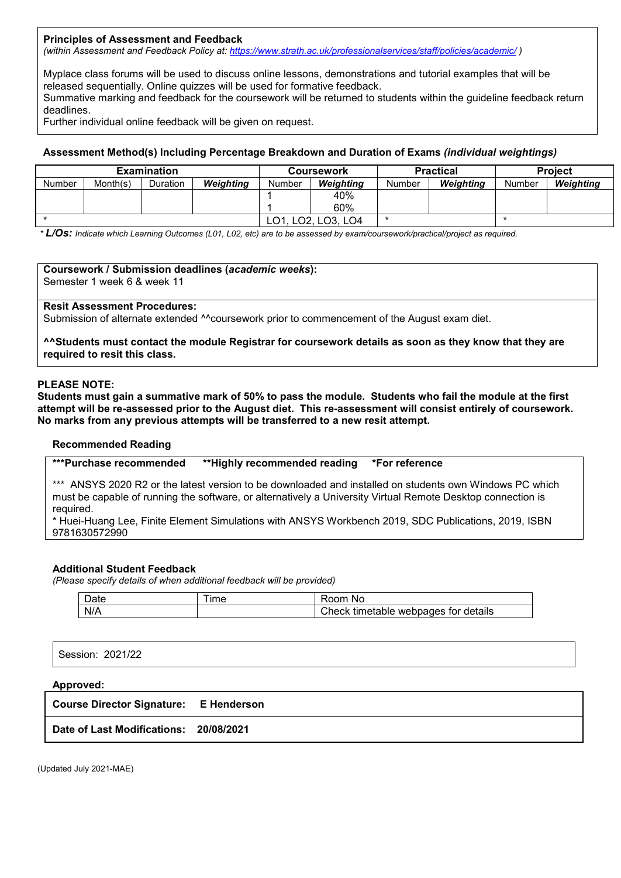#### **Principles of Assessment and Feedback**

*(within Assessment and Feedback Policy at: <https://www.strath.ac.uk/professionalservices/staff/policies/academic/> )*

Myplace class forums will be used to discuss online lessons, demonstrations and tutorial examples that will be released sequentially. Online quizzes will be used for formative feedback.

Summative marking and feedback for the coursework will be returned to students within the guideline feedback return deadlines.

Further individual online feedback will be given on request.

#### **Assessment Method(s) Including Percentage Breakdown and Duration of Exams** *(individual weightings)*

| <b>Examination</b> |          |                 |                  |        | Coursework       |        | <b>Practical</b> | <b>Project</b> |           |  |
|--------------------|----------|-----------------|------------------|--------|------------------|--------|------------------|----------------|-----------|--|
| <b>Number</b>      | Month(s) | <b>Duration</b> | <b>Weighting</b> | Number | <b>Weighting</b> | Number | Weighting        | Number         | Weighting |  |
|                    |          |                 |                  |        | 40%              |        |                  |                |           |  |
|                    |          |                 |                  |        | 60%              |        |                  |                |           |  |
|                    |          |                 |                  |        | LO2, LO3, LO4    |        |                  |                |           |  |

*\* L/Os: Indicate which Learning Outcomes (L01, L02, etc) are to be assessed by exam/coursework/practical/project as required.*

## **Coursework / Submission deadlines (***academic weeks***):**

Semester 1 week 6 & week 11

### **Resit Assessment Procedures:**

Submission of alternate extended <sup>^^</sup>coursework prior to commencement of the August exam diet.

**^^Students must contact the module Registrar for coursework details as soon as they know that they are required to resit this class.**

#### **PLEASE NOTE:**

**Students must gain a summative mark of 50% to pass the module. Students who fail the module at the first attempt will be re-assessed prior to the August diet. This re-assessment will consist entirely of coursework. No marks from any previous attempts will be transferred to a new resit attempt.**

#### **Recommended Reading**

**\*\*\*Purchase recommended \*\*Highly recommended reading \*For reference** 

\*\*\* ANSYS 2020 R2 or the latest version to be downloaded and installed on students own Windows PC which must be capable of running the software, or alternatively a University Virtual Remote Desktop connection is required.

\* Huei-Huang Lee, Finite Element Simulations with ANSYS Workbench 2019, SDC Publications, 2019, ISBN 9781630572990

#### **Additional Student Feedback**

*(Please specify details of when additional feedback will be provided)*

| $\overline{\phantom{a}}$<br>ا Oate | ime | າດm<br>NC                                        |
|------------------------------------|-----|--------------------------------------------------|
| N/A                                |     | <br>Check<br>webpages for details »<br>timetable |

Session: 2021/22

## **Approved:**

**Course Director Signature: E Henderson**

**Date of Last Modifications: 20/08/2021**

(Updated July 2021-MAE)